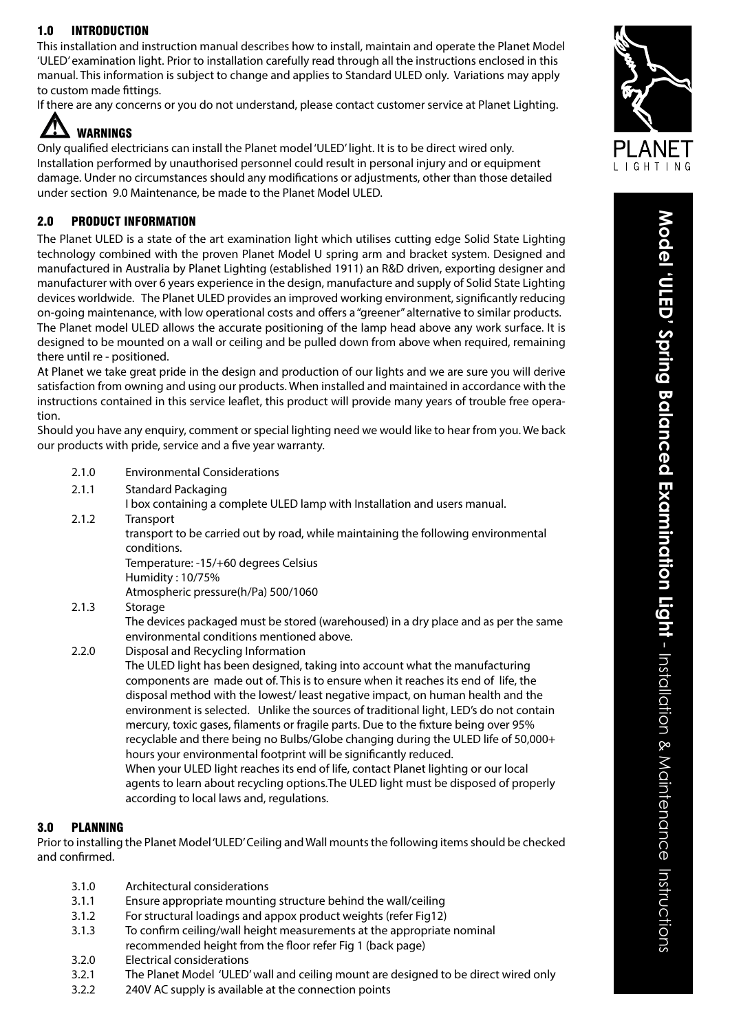### 1.0 INTRODUCTION

This installation and instruction manual describes how to install, maintain and operate the Planet Model 'ULED' examination light. Prior to installation carefully read through all the instructions enclosed in this manual. This information is subject to change and applies to Standard ULED only. Variations may apply to custom made fittings.

If there are any concerns or you do not understand, please contact customer service at Planet Lighting.



Only qualified electricians can install the Planet model 'ULED' light. It is to be direct wired only. Installation performed by unauthorised personnel could result in personal injury and or equipment damage. Under no circumstances should any modifications or adjustments, other than those detailed under section 9.0 Maintenance, be made to the Planet Model ULED.

#### 2.0 PRODUCT INFORMATION

The Planet ULED is a state of the art examination light which utilises cutting edge Solid State Lighting technology combined with the proven Planet Model U spring arm and bracket system. Designed and manufactured in Australia by Planet Lighting (established 1911) an R&D driven, exporting designer and manufacturer with over 6 years experience in the design, manufacture and supply of Solid State Lighting devices worldwide. The Planet ULED provides an improved working environment, significantly reducing on-going maintenance, with low operational costs and offers a "greener" alternative to similar products. The Planet model ULED allows the accurate positioning of the lamp head above any work surface. It is designed to be mounted on a wall or ceiling and be pulled down from above when required, remaining there until re - positioned.

At Planet we take great pride in the design and production of our lights and we are sure you will derive satisfaction from owning and using our products. When installed and maintained in accordance with the instructions contained in this service leaflet, this product will provide many years of trouble free opera tion.

Should you have any enquiry, comment or special lighting need we would like to hear from you. We back our products with pride, service and a five year warranty.

- 2.1.0 Environmental Considerations
- 2.1.1 Standard Packaging
	- I box containing a complete ULED lamp with Installation and users manual.
- 2.1.2 Transport

 transport to be carried out by road, while maintaining the following environmental conditions.

 Temperature: -15/+60 degrees Celsius Humidity : 10/75%

Atmospheric pressure(h/Pa) 500/1060

2.1.3 Storage

 The devices packaged must be stored (warehoused) in a dry place and as per the same environmental conditions mentioned above.

2.2.0 Disposal and Recycling Information

 The ULED light has been designed, taking into account what the manufacturing components are made out of. This is to ensure when it reaches its end of life, the disposal method with the lowest/ least negative impact, on human health and the environment is selected. Unlike the sources of traditional light, LED's do not contain mercury, toxic gases, filaments or fragile parts. Due to the fixture being over 95% recyclable and there being no Bulbs/Globe changing during the ULED life of 50,000+ hours your environmental footprint will be significantly reduced. When your ULED light reaches its end of life, contact Planet lighting or our local agents to learn about recycling options.The ULED light must be disposed of properly according to local laws and, regulations.

#### 3.0 PLANNING

Prior to installing the Planet Model 'ULED' Ceiling and Wall mounts the following items should be checked and confirmed.

- 3.1.0 Architectural considerations
- 3.1.1 Ensure appropriate mounting structure behind the wall/ceiling
- 3.1.2 For structural loadings and appox product weights (refer Fig12)
- 3.1.3 To confirm ceiling/wall height measurements at the appropriate nominal
- recommended height from the floor refer Fig 1 (back page)
- 3.2.0 Electrical considerations
- 3.2.1 The Planet Model 'ULED' wall and ceiling mount are designed to be direct wired only
- 3.2.2 240V AC supply is available at the connection points



**Model 'ULED' Spring Balanced Examination Light**

Model 'ULED' Spring Balanced Examination Light - Installation & Maintenance Instructions

- Installation & Maintenance Instructions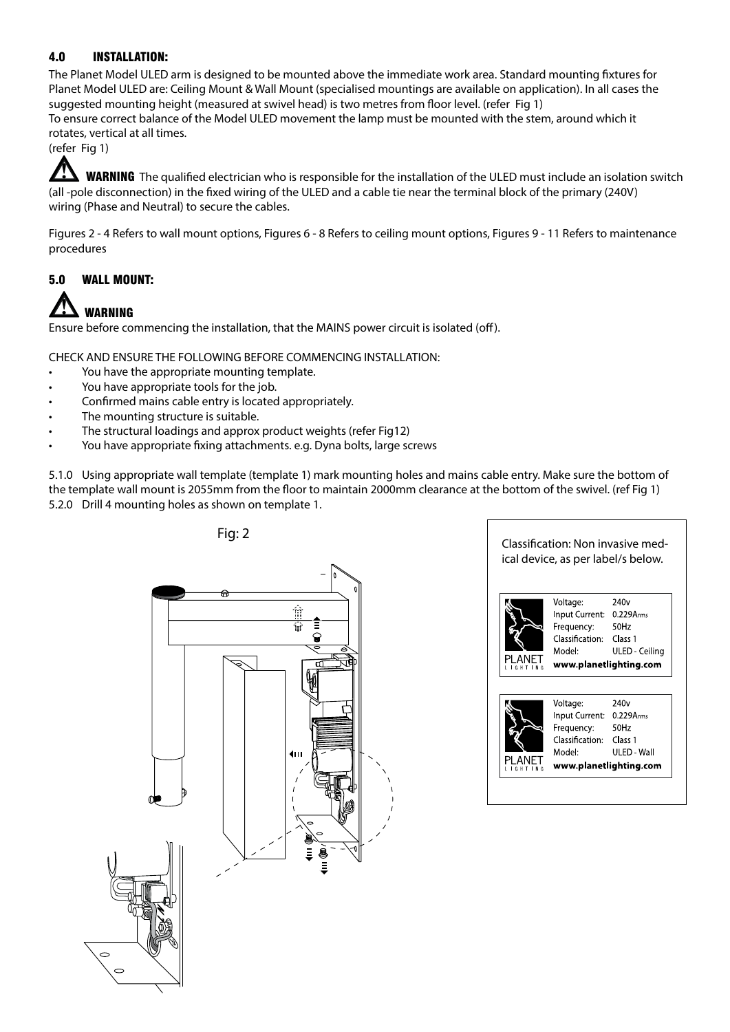#### 4.0 INSTALLATION:

The Planet Model ULED arm is designed to be mounted above the immediate work area. Standard mounting fixtures for Planet Model ULED are: Ceiling Mount & Wall Mount (specialised mountings are available on application). In all cases the suggested mounting height (measured at swivel head) is two metres from floor level. (refer Fig 1) To ensure correct balance of the Model ULED movement the lamp must be mounted with the stem, around which it rotates, vertical at all times.

(refer Fig 1)

WARNING The qualified electrician who is responsible for the installation of the ULED must include an isolation switch (all -pole disconnection) in the fixed wiring of the ULED and a cable tie near the terminal block of the primary (240V) wiring (Phase and Neutral) to secure the cables.

Figures 2 - 4 Refers to wall mount options, Figures 6 - 8 Refers to ceiling mount options, Figures 9 - 11 Refers to maintenance procedures

### 5.0 WALL MOUNT:

## WARNING

Ensure before commencing the installation, that the MAINS power circuit is isolated (off).

CHECK AND ENSURE THE FOLLOWING BEFORE COMMENCING INSTALLATION:

- You have the appropriate mounting template.
- You have appropriate tools for the job.
- Confirmed mains cable entry is located appropriately.
- The mounting structure is suitable.
- The structural loadings and approx product weights (refer Fig12)
- You have appropriate fixing attachments. e.g. Dyna bolts, large screws

5.1.0 Using appropriate wall template (template 1) mark mounting holes and mains cable entry. Make sure the bottom of the template wall mount is 2055mm from the floor to maintain 2000mm clearance at the bottom of the swivel. (ref Fig 1) 5.2.0 Drill 4 mounting holes as shown on template 1.



ical device, as per label/s below.

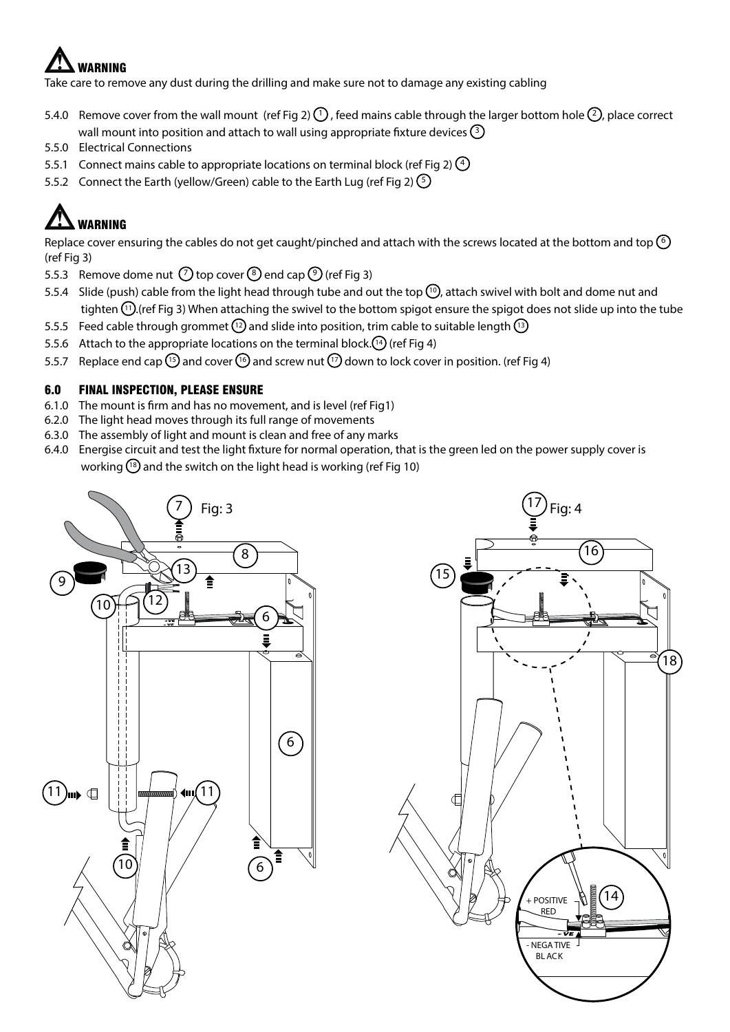# WARNING

Take care to remove any dust during the drilling and make sure not to damage any existing cabling

- 5.4.0 Remove cover from the wall mount (ref Fig 2)  $\Omega$ , feed mains cable through the larger bottom hole  $\Omega$ , place correct wall mount into position and attach to wall using appropriate fixture devices  $\textcircled{3}$
- 5.5.0 Electrical Connections
- 5.5.1 Connect mains cable to appropriate locations on terminal block (ref Fig 2)  $\binom{4}{2}$
- 5.5.2 Connect the Earth (yellow/Green) cable to the Earth Lug (ref Fig 2)  $(5)$

# WARNING

Replace cover ensuring the cables do not get caught/pinched and attach with the screws located at the bottom and top  $\odot$ (ref Fig 3)

- 5.5.3 Remove dome nut  $(7)$  top cover  $(8)$  end cap  $(9)$  (ref Fig 3)
- 5.5.4 Slide (push) cable from the light head through tube and out the top  $\Omega$ , attach swivel with bolt and dome nut and tighten  $(1)$  (ref Fig 3) When attaching the swivel to the bottom spigot ensure the spigot does not slide up into the tube
- 5.5.5 Feed cable through grommet  $\binom{12}{2}$  and slide into position, trim cable to suitable length  $\binom{13}{2}$
- 5.5.6 Attach to the appropriate locations on the terminal block. $(14)$  (ref Fig 4)
- 5.5.7 Replace end cap  $^{15}$  and cover  $^{16}$  and screw nut  $^{17}$  down to lock cover in position. (ref Fig 4)

#### 6.0 FINAL INSPECTION, PLEASE ENSURE

- 6.1.0 The mount is firm and has no movement, and is level (ref Fig1)
- 6.2.0 The light head moves through its full range of movements
- 6.3.0 The assembly of light and mount is clean and free of any marks
- 6.4.0 Energise circuit and test the light fixture for normal operation, that is the green led on the power supply cover is working  $\left(\frac{18}{3}\right)$  and the switch on the light head is working (ref Fig 10)



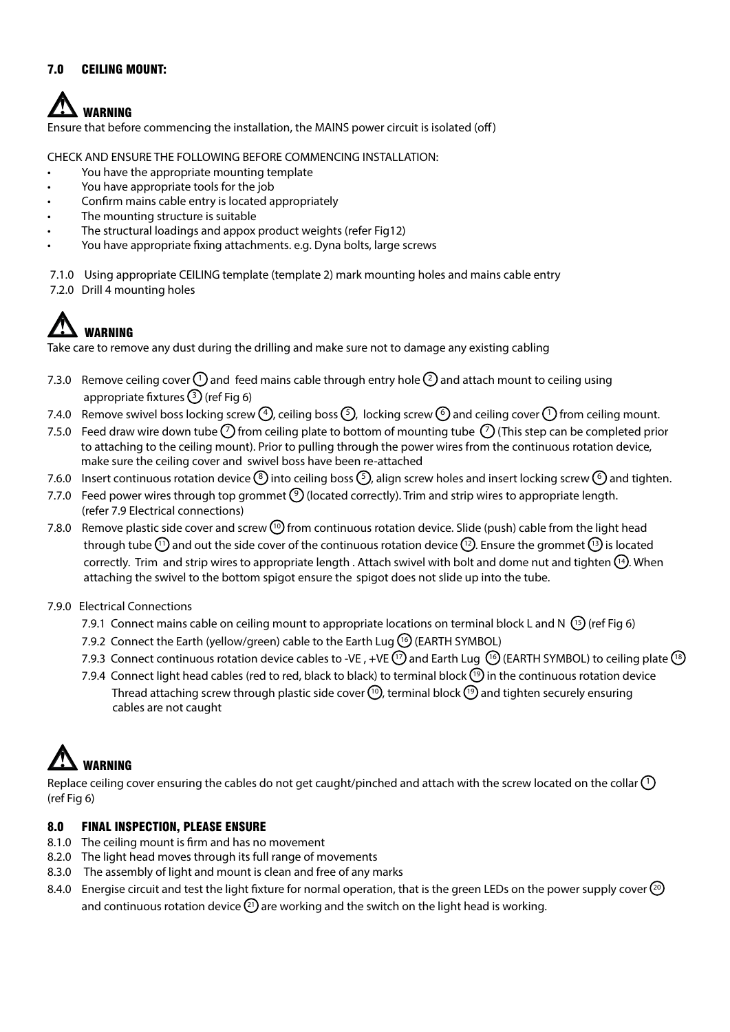#### 7.0 CEILING MOUNT:

# WARNING

Ensure that before commencing the installation, the MAINS power circuit is isolated (off)

CHECK AND ENSURE THE FOLLOWING BEFORE COMMENCING INSTALLATION:

- You have the appropriate mounting template
- You have appropriate tools for the job
- Confirm mains cable entry is located appropriately
- The mounting structure is suitable
- The structural loadings and appox product weights (refer Fig12)
- You have appropriate fixing attachments. e.g. Dyna bolts, large screws

7.1.0 Using appropriate CEILING template (template 2) mark mounting holes and mains cable entry 7.2.0 Drill 4 mounting holes

## WARNING

Take care to remove any dust during the drilling and make sure not to damage any existing cabling

- 7.3.0 Remove ceiling cover  $\binom{1}{1}$  and feed mains cable through entry hole  $\binom{2}{2}$  and attach mount to ceiling using appropriate fixtures  $(3)$  (ref Fig 6)
- 7.4.0 Remove swivel boss locking screw  $\bigoplus$ , ceiling boss  $\bigcirc$ , locking screw  $\bigcirc$  and ceiling cover  $\bigcirc$  from ceiling mount.
- 7.5.0 Feed draw wire down tube  $\binom{7}{1}$  from ceiling plate to bottom of mounting tube  $\binom{7}{1}$  (This step can be completed prior to attaching to the ceiling mount). Prior to pulling through the power wires from the continuous rotation device, make sure the ceiling cover and swivel boss have been re-attached
- 7.6.0 Insert continuous rotation device  $\binom{8}{3}$  into ceiling boss  $\binom{5}{2}$ , align screw holes and insert locking screw  $\binom{6}{3}$  and tighten.
- 7.7.0 Feed power wires through top grommet  $\odot$  (located correctly). Trim and strip wires to appropriate length. (refer 7.9 Electrical connections)
- 7.8.0 Remove plastic side cover and screw  $^{(1)}$  from continuous rotation device. Slide (push) cable from the light head through tube  $(1)$  and out the side cover of the continuous rotation device  $(1)$ . Ensure the grommet  $(1)$  is located correctly. Trim and strip wires to appropriate length . Attach swivel with bolt and dome nut and tighten  $[14]$ . When attaching the swivel to the bottom spigot ensure the spigot does not slide up into the tube.
- 7.9.0 Electrical Connections
	- 7.9.1 Connect mains cable on ceiling mount to appropriate locations on terminal block L and N  $(15)$  (ref Fig 6)
	- 7.9.2 Connect the Earth (yellow/green) cable to the Earth Lug  $\left(\begin{matrix} 6 \end{matrix}\right)$  (EARTH SYMBOL)
	- 7.9.3 Connect continuous rotation device cables to -VE, +VE  $(17)$  and Earth Lug  $(16)$  (EARTH SYMBOL) to ceiling plate  $(18)$
	- 7.9.4 Connect light head cables (red to red, black to black) to terminal block  $(19)$  in the continuous rotation device Thread attaching screw through plastic side cover  $\binom{n}{k}$ , terminal block  $\binom{n}{k}$  and tighten securely ensuring cables are not caught



Replace ceiling cover ensuring the cables do not get caught/pinched and attach with the screw located on the collar  $(1)$ (ref Fig 6)

#### 8.0 FINAL INSPECTION, PLEASE ENSURE

- 8.1.0 The ceiling mount is firm and has no movement
- 8.2.0 The light head moves through its full range of movements
- 8.3.0 The assembly of light and mount is clean and free of any marks
- 8.4.0 Energise circuit and test the light fixture for normal operation, that is the green LEDs on the power supply cover  $\circledcirc$ and continuous rotation device  $\Omega$  are working and the switch on the light head is working.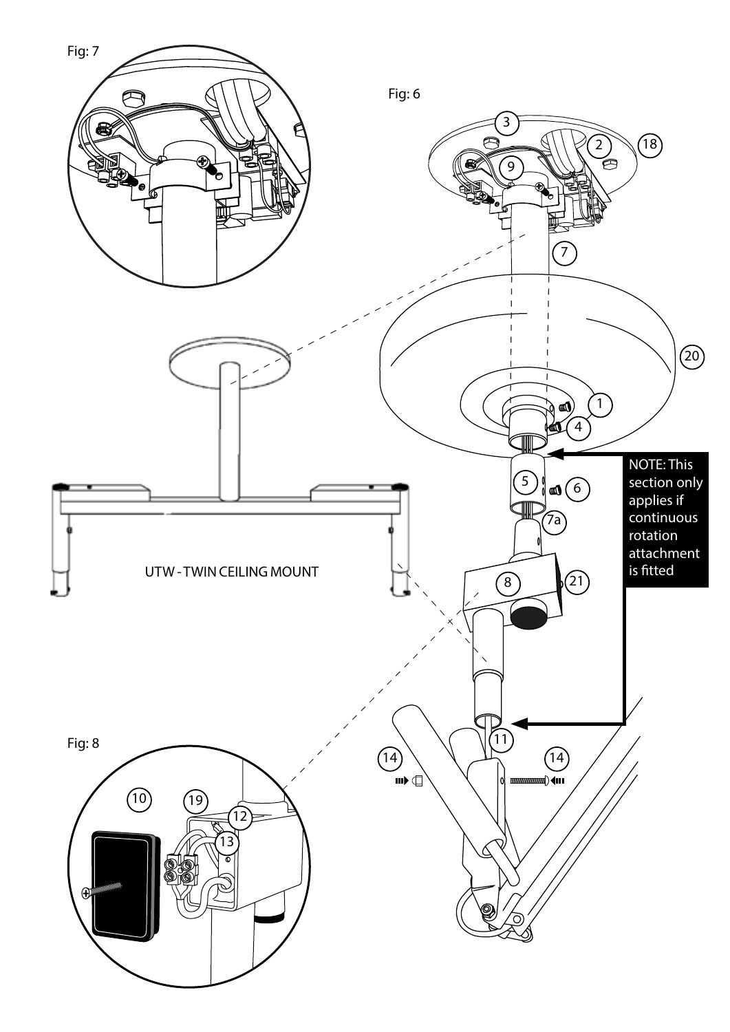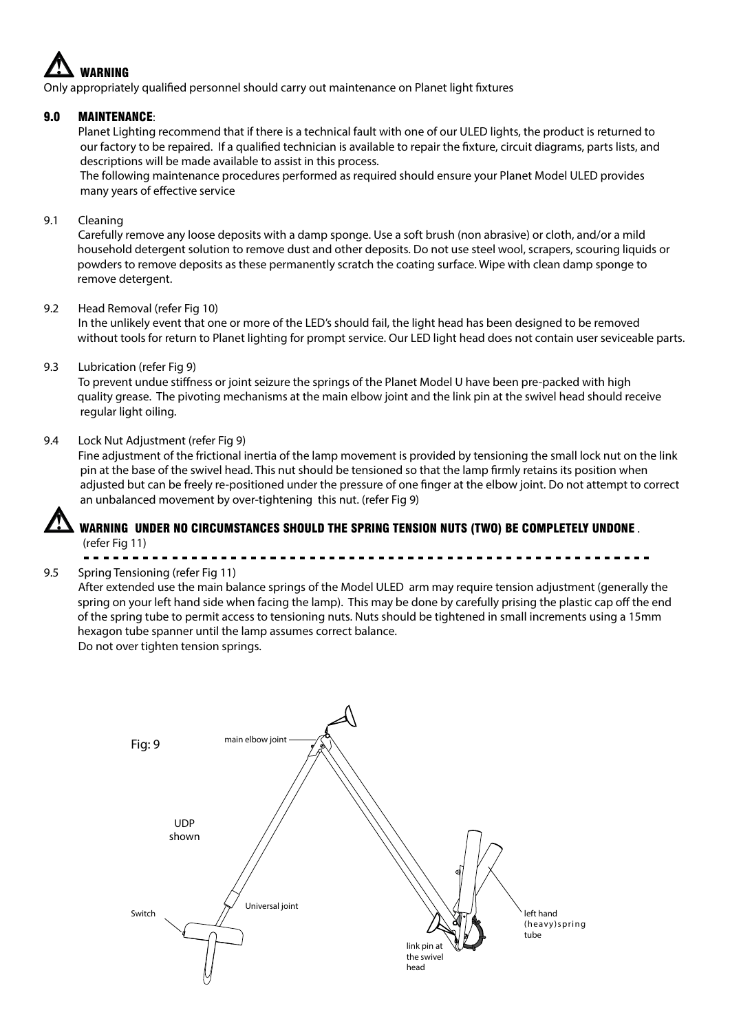

Only appropriately qualified personnel should carry out maintenance on Planet light fixtures

#### 9.0 MAINTENANCE:

Planet Lighting recommend that if there is a technical fault with one of our ULED lights, the product is returned to our factory to be repaired. If a qualified technician is available to repair the fixture, circuit diagrams, parts lists, and descriptions will be made available to assist in this process.

 The following maintenance procedures performed as required should ensure your Planet Model ULED provides many years of effective service

#### 9.1 Cleaning

Carefully remove any loose deposits with a damp sponge. Use a soft brush (non abrasive) or cloth, and/or a mild household detergent solution to remove dust and other deposits. Do not use steel wool, scrapers, scouring liquids or powders to remove deposits as these permanently scratch the coating surface. Wipe with clean damp sponge to remove detergent.

#### 9.2 Head Removal (refer Fig 10)

In the unlikely event that one or more of the LED's should fail, the light head has been designed to be removed without tools for return to Planet lighting for prompt service. Our LED light head does not contain user seviceable parts.

#### 9.3 Lubrication (refer Fig 9)

To prevent undue stiffness or joint seizure the springs of the Planet Model U have been pre-packed with high quality grease. The pivoting mechanisms at the main elbow joint and the link pin at the swivel head should receive regular light oiling.

#### 9.4 Lock Nut Adjustment (refer Fig 9)

Fine adjustment of the frictional inertia of the lamp movement is provided by tensioning the small lock nut on the link pin at the base of the swivel head. This nut should be tensioned so that the lamp firmly retains its position when adjusted but can be freely re-positioned under the pressure of one finger at the elbow joint. Do not attempt to correct an unbalanced movement by over-tightening this nut. (refer Fig 9)



#### WARNING UNDER NO CIRCUMSTANCES SHOULD THE SPRING TENSION NUTS (TWO) BE COMPLETELY UNDONE . (refer Fig 11)

#### 9.5 Spring Tensioning (refer Fig 11)

After extended use the main balance springs of the Model ULED arm may require tension adjustment (generally the spring on your left hand side when facing the lamp). This may be done by carefully prising the plastic cap off the end of the spring tube to permit access to tensioning nuts. Nuts should be tightened in small increments using a 15mm hexagon tube spanner until the lamp assumes correct balance.

Do not over tighten tension springs.

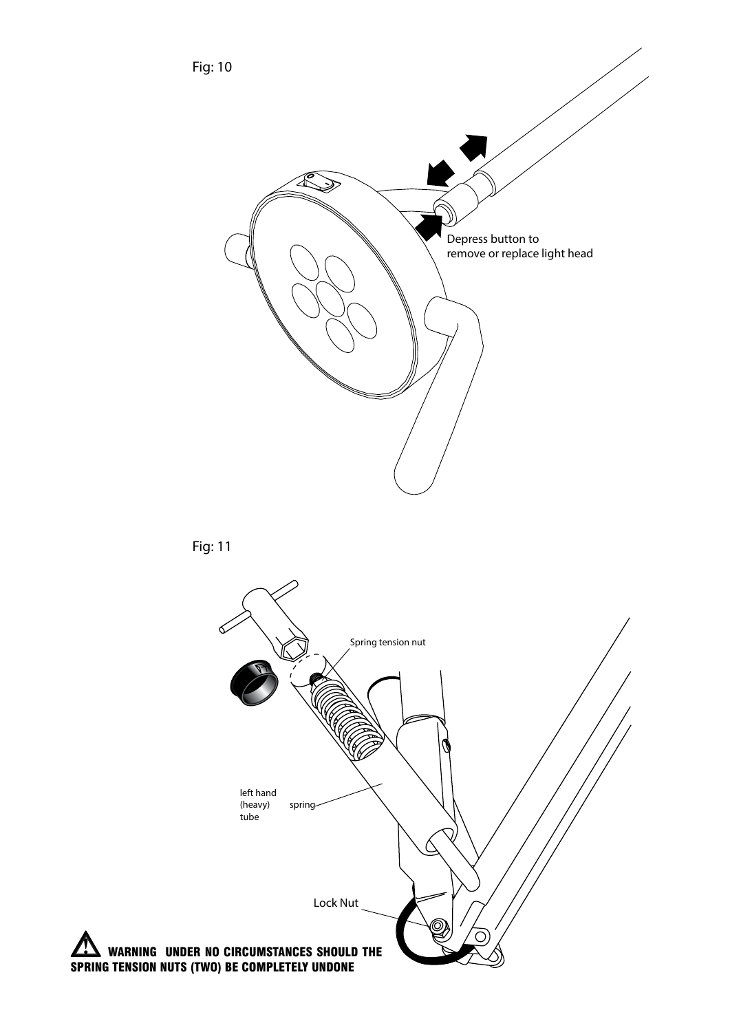Fig: 10